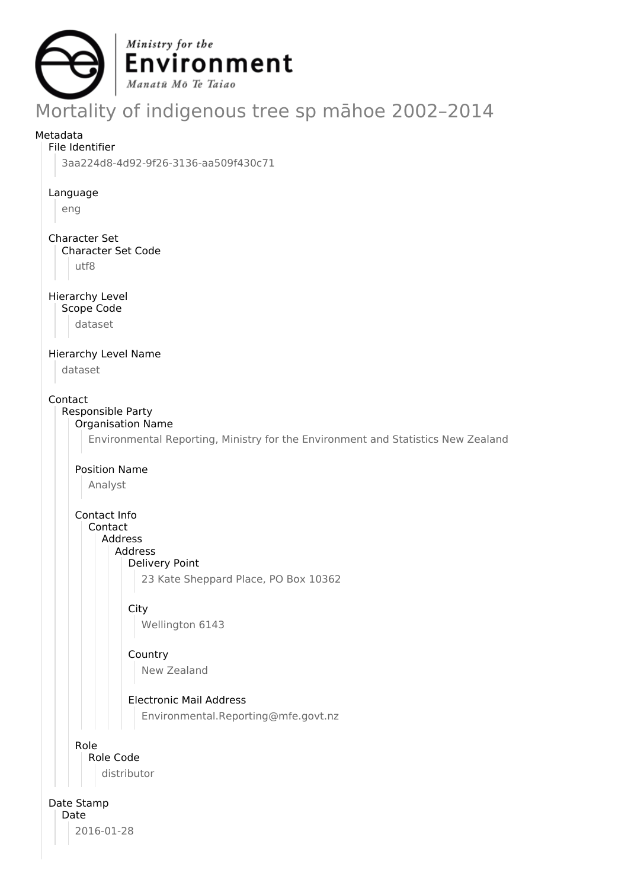

# Mortality of indigenous tree sp māhoe 2002–2014

# Metadata

# File Identifier

3aa224d8-4d92-9f26-3136-aa509f430c71

#### Language

eng

# Character Set

Character Set Code

utf8

# Hierarchy Level

Scope Code

dataset

# Hierarchy Level Name

dataset

# Contact

#### Responsible Party Organisation Name

Environmental Reporting, Ministry for the Environment and Statistics New Zealand

# Position Name

Analyst

Contact Info Contact

# Address

Address

Delivery Point

23 Kate Sheppard Place, PO Box 10362

# **City**

Wellington 6143

# Country New Zealand

# Electronic Mail Address

Environmental.Reporting@mfe.govt.nz

# Role

Role Code

distributor

# Date Stamp

Date 2016-01-28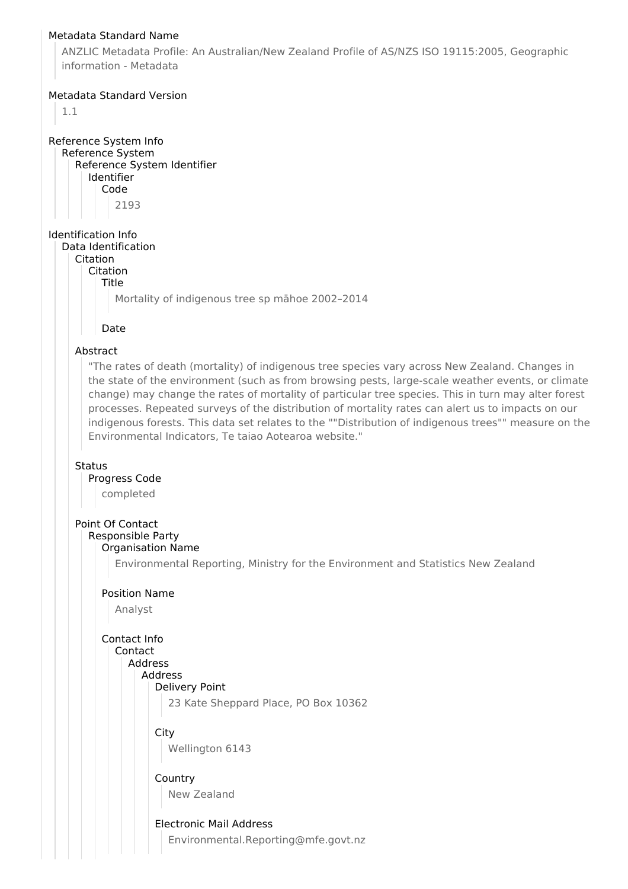#### Metadata Standard Name

ANZLIC Metadata Profile: An Australian/New Zealand Profile of AS/NZS ISO 19115:2005, Geographic information - Metadata

#### Metadata Standard Version

1.1

Reference System Info Reference System Reference System Identifier Identifier Code 2193

# Identification Info

Data Identification Citation

Citation

Title

Mortality of indigenous tree sp māhoe 2002–2014

#### Date

#### Abstract

"The rates of death (mortality) of indigenous tree species vary across New Zealand. Changes in the state of the environment (such as from browsing pests, large-scale weather events, or climate change) may change the rates of mortality of particular tree species. This in turn may alter forest processes. Repeated surveys of the distribution of mortality rates can alert us to impacts on our indigenous forests. This data set relates to the ""Distribution of indigenous trees"" measure on the Environmental Indicators, Te taiao Aotearoa website."

#### **Status**

# Progress Code

completed

# Point Of Contact

#### Responsible Party Organisation Name

Environmental Reporting, Ministry for the Environment and Statistics New Zealand

#### Position Name

Analyst

# Contact Info

#### Contact Address

Address Delivery Point

23 Kate Sheppard Place, PO Box 10362

## **City**

Wellington 6143

#### **Country**

New Zealand

## Electronic Mail Address

Environmental.Reporting@mfe.govt.nz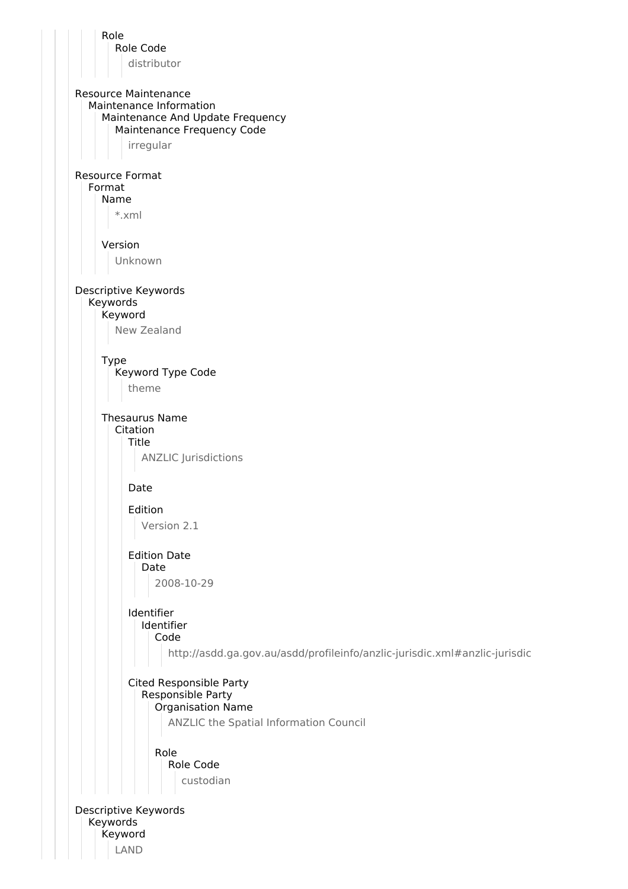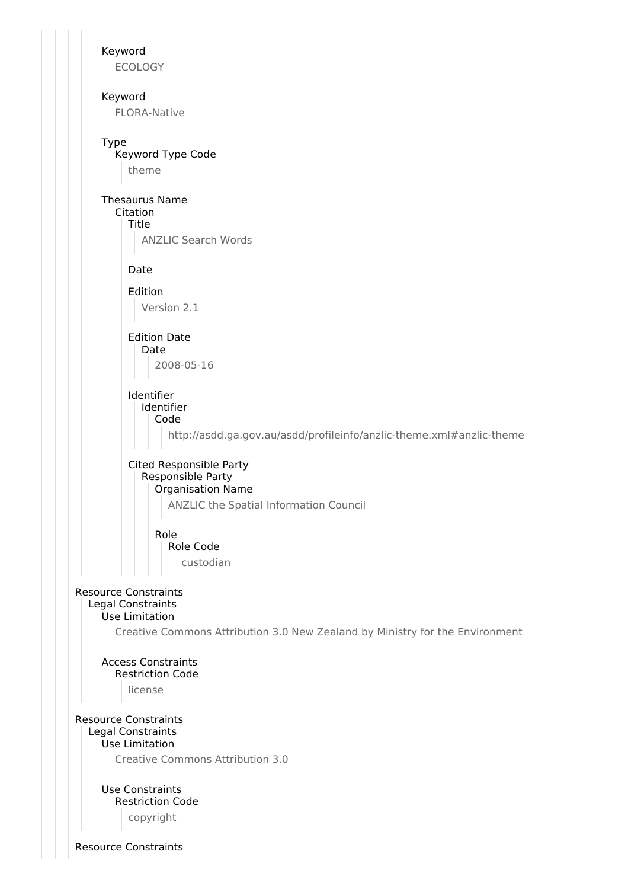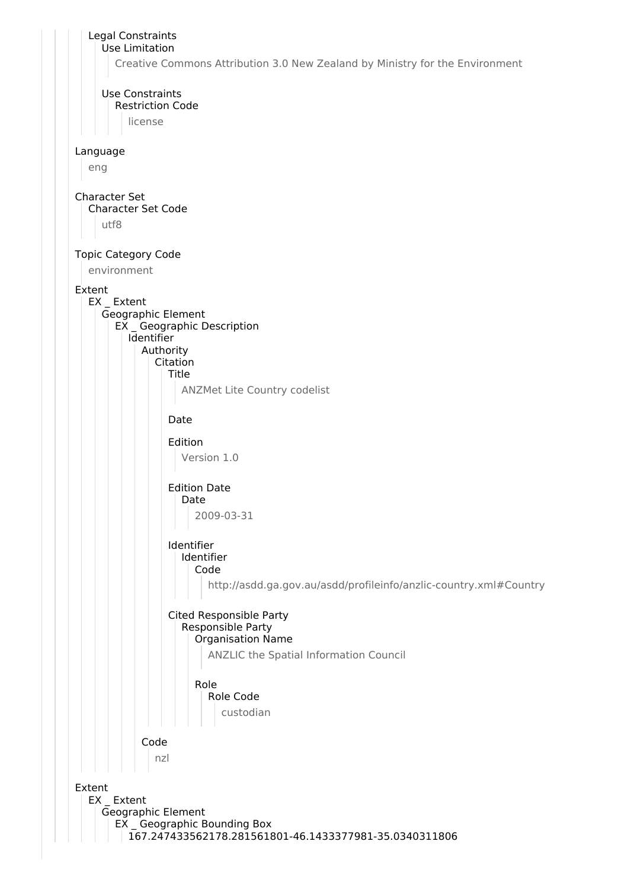